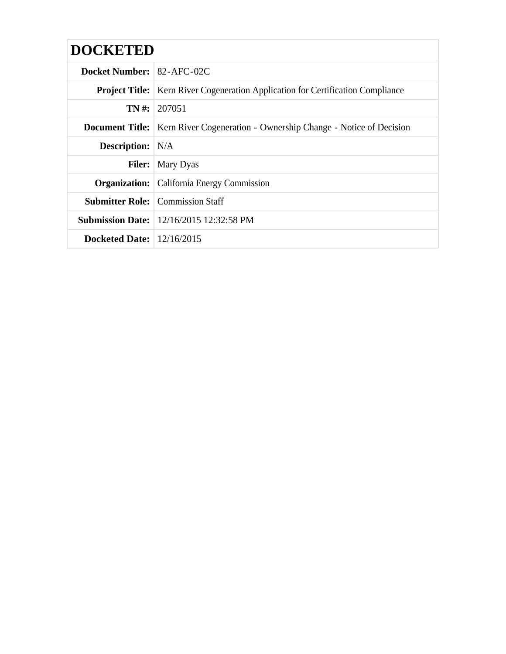| <b>DOCKETED</b>                    |                                                                                          |
|------------------------------------|------------------------------------------------------------------------------------------|
| <b>Docket Number: 82-AFC-02C</b>   |                                                                                          |
|                                    | <b>Project Title:</b>   Kern River Cogeneration Application for Certification Compliance |
|                                    | $TN \#: 207051$                                                                          |
|                                    | <b>Document Title:</b> Kern River Cogeneration - Ownership Change - Notice of Decision   |
| <b>Description:</b> N/A            |                                                                                          |
|                                    | <b>Filer:</b> Mary Dyas                                                                  |
|                                    | <b>Organization:</b> California Energy Commission                                        |
|                                    | <b>Submitter Role:</b> Commission Staff                                                  |
|                                    | <b>Submission Date:</b>   12/16/2015 12:32:58 PM                                         |
| <b>Docketed Date:</b> $12/16/2015$ |                                                                                          |